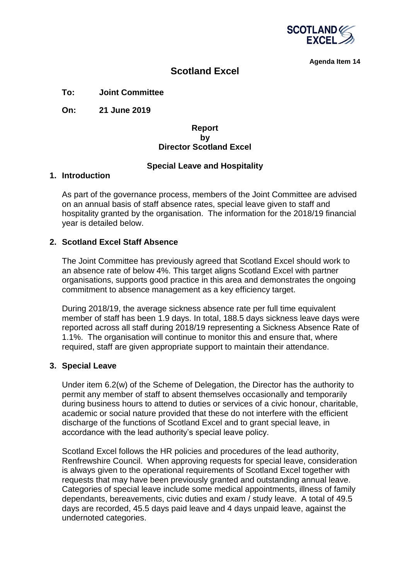

**Agenda Item 14**

# **Scotland Excel**

# **To: Joint Committee**

**On: 21 June 2019**

#### **Report by Director Scotland Excel**

## **Special Leave and Hospitality**

#### **1. Introduction**

As part of the governance process, members of the Joint Committee are advised on an annual basis of staff absence rates, special leave given to staff and hospitality granted by the organisation. The information for the 2018/19 financial year is detailed below.

## **2. Scotland Excel Staff Absence**

The Joint Committee has previously agreed that Scotland Excel should work to an absence rate of below 4%. This target aligns Scotland Excel with partner organisations, supports good practice in this area and demonstrates the ongoing commitment to absence management as a key efficiency target.

During 2018/19, the average sickness absence rate per full time equivalent member of staff has been 1.9 days. In total, 188.5 days sickness leave days were reported across all staff during 2018/19 representing a Sickness Absence Rate of 1.1%. The organisation will continue to monitor this and ensure that, where required, staff are given appropriate support to maintain their attendance.

## **3. Special Leave**

Under item 6.2(w) of the Scheme of Delegation, the Director has the authority to permit any member of staff to absent themselves occasionally and temporarily during business hours to attend to duties or services of a civic honour, charitable, academic or social nature provided that these do not interfere with the efficient discharge of the functions of Scotland Excel and to grant special leave, in accordance with the lead authority's special leave policy.

Scotland Excel follows the HR policies and procedures of the lead authority, Renfrewshire Council. When approving requests for special leave, consideration is always given to the operational requirements of Scotland Excel together with requests that may have been previously granted and outstanding annual leave. Categories of special leave include some medical appointments, illness of family dependants, bereavements, civic duties and exam / study leave. A total of 49.5 days are recorded, 45.5 days paid leave and 4 days unpaid leave, against the undernoted categories.